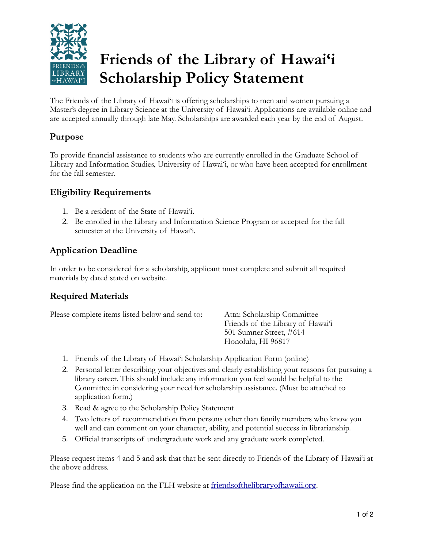

# **Friends of the Library of Hawai'i Scholarship Policy Statement**

The Friends of the Library of Hawai'i is offering scholarships to men and women pursuing a Master's degree in Library Science at the University of Hawai'i. Applications are available online and are accepted annually through late May. Scholarships are awarded each year by the end of August.

#### **Purpose**

To provide financial assistance to students who are currently enrolled in the Graduate School of Library and Information Studies, University of Hawai'i, or who have been accepted for enrollment for the fall semester.

#### **Eligibility Requirements**

- 1. Be a resident of the State of Hawai'i.
- 2. Be enrolled in the Library and Information Science Program or accepted for the fall semester at the University of Hawai'i.

## **Application Deadline**

In order to be considered for a scholarship, applicant must complete and submit all required materials by dated stated on website.

### **Required Materials**

Please complete items listed below and send to: Attn: Scholarship Committee

 Friends of the Library of Hawai'i 501 Sumner Street, #614 Honolulu, HI 96817

- 1. Friends of the Library of Hawai'i Scholarship Application Form (online)
- 2. Personal letter describing your objectives and clearly establishing your reasons for pursuing a library career. This should include any information you feel would be helpful to the Committee in considering your need for scholarship assistance. (Must be attached to application form.)
- 3. Read & agree to the Scholarship Policy Statement
- 4. Two letters of recommendation from persons other than family members who know you well and can comment on your character, ability, and potential success in librarianship.
- 5. Official transcripts of undergraduate work and any graduate work completed.

Please request items 4 and 5 and ask that that be sent directly to Friends of the Library of Hawai'i at the above address.

Please find the application on the FLH website at [friendsofthelibraryofhawaii.org](http://friendsofthelibraryofhawaii.org).